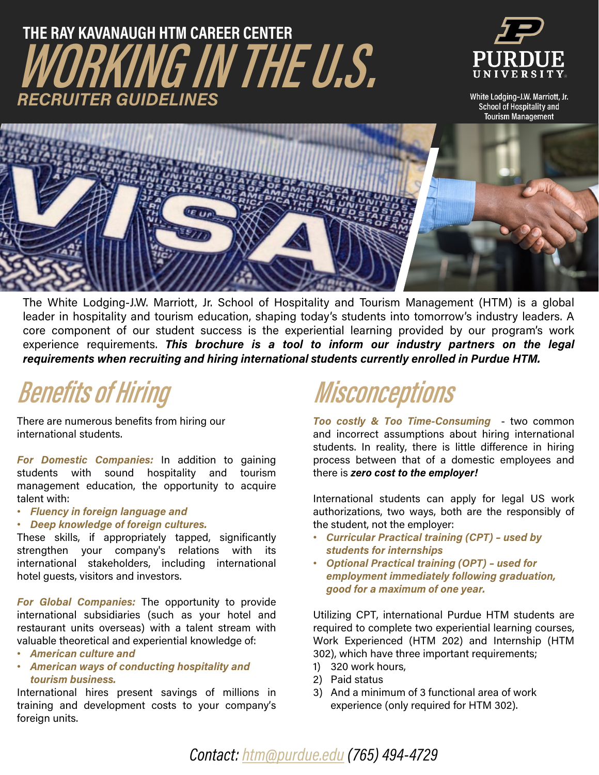### **WORKING IN THE U.S. THE RAY KAVANAUGH HTM CAREER CENTER** *RECRUITER GUIDELINES*



White Lodging-J.W. Marriott, Jr. School of Hospitality and **Tourism Management** 



The White Lodging-J.W. Marriott, Jr. School of Hospitality and Tourism Management (HTM) is a global leader in hospitality and tourism education, shaping today's students into tomorrow's industry leaders. A core component of our student success is the experiential learning provided by our program's work experience requirements. *This brochure is a tool to inform our industry partners on the legal requirements when recruiting and hiring international students currently enrolled in Purdue HTM.*

## **Benefits of Hiring**

There are numerous benefits from hiring our international students.

*For Domestic Companies:* In addition to gaining students with sound hospitality and tourism management education, the opportunity to acquire talent with:

- *Fluency in foreign language and*
- *Deep knowledge of foreign cultures.*

These skills, if appropriately tapped, significantly strengthen your company's relations with its international stakeholders, including international hotel guests, visitors and investors.

*For Global Companies:* The opportunity to provide international subsidiaries (such as your hotel and restaurant units overseas) with a talent stream with valuable theoretical and experiential knowledge of:

- *American culture and*
- *American ways of conducting hospitality and tourism business.*

International hires present savings of millions in training and development costs to your company's foreign units.

# **Misconceptions**

*Too costly & Too Time-Consuming* - two common and incorrect assumptions about hiring international students. In reality, there is little difference in hiring process between that of a domestic employees and there is *zero cost to the employer!*

International students can apply for legal US work authorizations, two ways, both are the responsibly of the student, not the employer:

- *Curricular Practical training (CPT) – used by students for internships*
- *Optional Practical training (OPT) – used for employment immediately following graduation, good for a maximum of one year.*

Utilizing CPT, international Purdue HTM students are required to complete two experiential learning courses, Work Experienced (HTM 202) and Internship (HTM 302), which have three important requirements;

- 1) 320 work hours,
- 2) Paid status
- 3) And a minimum of 3 functional area of work experience (only required for HTM 302).

*Contact: [htm@purdue.edu](mailto:htm@purdue.edu) (765) 494-4729*